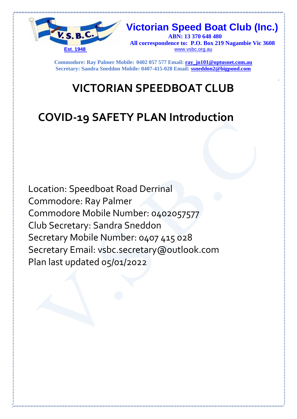

 **Victorian Speed Boat Club (Inc.) ABN: 13 370 648 480 All correspondence to: P.O. Box 219 Nagambie Vic 3608 Est. 1948** www.vsbc.org.au

**Commodore: Ray Palmer Mobile: 0402 057 577 Email: ray\_jo101@optusnet.com.au Secretary: Sandra Sneddon Mobile: 0407-415-028 Email: ssneddon2@bigpond.com**

# **VICTORIAN SPEEDBOAT CLUB**

# **COVID-19 SAFETY PLAN Introduction**

Location: Speedboat Road Derrinal Commodore: Ray Palmer Commodore Mobile Number: 0402057577 Club Secretary: Sandra Sneddon Secretary Mobile Number: 0407 415 028 Secretary Email: vsbc.secretary@outlook.com Plan last updated 05/01/2022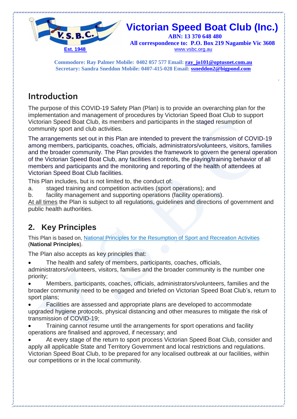

 **All correspondence to: P.O. Box 219 Nagambie Vic 3608 Est. 1948** www.vsbc.org.au

**Commodore: Ray Palmer Mobile: 0402 057 577 Email: ray\_jo101@optusnet.com.au Secretary: Sandra Sneddon Mobile: 0407-415-028 Email: ssneddon2@bigpond.com**

#### **Introduction**

The purpose of this COVID-19 Safety Plan (Plan) is to provide an overarching plan for the implementation and management of procedures by Victorian Speed Boat Club to support Victorian Speed Boat Club, its members and participants in the staged resumption of community sport and club activities.

The arrangements set out in this Plan are intended to prevent the transmission of COVID-19 among members, participants, coaches, officials, administrators/volunteers, visitors, families and the broader community. The Plan provides the framework to govern the general operation of the Victorian Speed Boat Club, any facilities it controls, the playing/training behavior of all members and participants and the monitoring and reporting of the health of attendees at Victorian Speed Boat Club facilities.

This Plan includes, but is not limited to, the conduct of:

- a. staged training and competition activities (sport operations); and
- b. facility management and supporting operations (facility operations).

At all times the Plan is subject to all regulations, guidelines and directions of government and public health authorities.

#### **2. Key Principles**

This Plan is based on, National Principles for the [Resumption](https://www.health.gov.au/sites/default/files/documents/2020/05/australian-institute-of-sport-ais-framework-for-rebooting-sport-in-a-covid-19-environment.pdf) of Sport and Recreation Activities (**National Principles**).

The Plan also accepts as key principles that:

The health and safety of members, participants, coaches, officials,

administrators/volunteers, visitors, families and the broader community is the number one priority;

 Members, participants, coaches, officials, administrators/volunteers, families and the broader community need to be engaged and briefed on Victorian Speed Boat Club's, return to sport plans;

 Facilities are assessed and appropriate plans are developed to accommodate upgraded hygiene protocols, physical distancing and other measures to mitigate the risk of transmission of COVID-19;

 Training cannot resume until the arrangements for sport operations and facility operations are finalised and approved, if necessary; and

 At every stage of the return to sport process Victorian Speed Boat Club, consider and apply all applicable State and Territory Government and local restrictions and regulations. Victorian Speed Boat Club, to be prepared for any localised outbreak at our facilities, within our competitions or in the local community.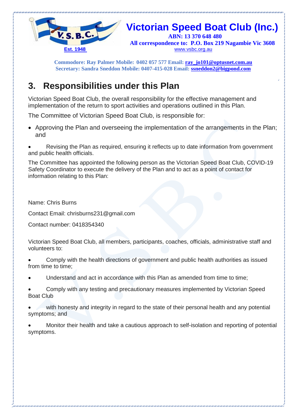

 **All correspondence to: P.O. Box 219 Nagambie Vic 3608 Est. 1948** www.vsbc.org.au

**Commodore: Ray Palmer Mobile: 0402 057 577 Email: ray\_jo101@optusnet.com.au Secretary: Sandra Sneddon Mobile: 0407-415-028 Email: ssneddon2@bigpond.com**

#### **3. Responsibilities under this Plan**

Victorian Speed Boat Club, the overall responsibility for the effective management and implementation of the return to sport activities and operations outlined in this Plan.

The Committee of Victorian Speed Boat Club, is responsible for:

• Approving the Plan and overseeing the implementation of the arrangements in the Plan; and

 Revising the Plan as required, ensuring it reflects up to date information from government and public health officials.

The Committee has appointed the following person as the Victorian Speed Boat Club, COVID-19 Safety Coordinator to execute the delivery of the Plan and to act as a point of contact for information relating to this Plan:

Name: Chris Burns

Contact Email: chrisburns231@gmail.com

Contact number: 0418354340

Victorian Speed Boat Club, all members, participants, coaches, officials, administrative staff and volunteers to:

 Comply with the health directions of government and public health authorities as issued from time to time;

Understand and act in accordance with this Plan as amended from time to time;

 Comply with any testing and precautionary measures implemented by Victorian Speed Boat Club

 with honesty and integrity in regard to the state of their personal health and any potential symptoms; and

 Monitor their health and take a cautious approach to self-isolation and reporting of potential symptoms.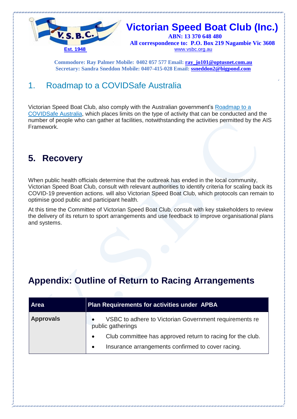

 **All correspondence to: P.O. Box 219 Nagambie Vic 3608 Est. 1948** www.vsbc.org.au

**Commodore: Ray Palmer Mobile: 0402 057 577 Email: ray\_jo101@optusnet.com.au Secretary: Sandra Sneddon Mobile: 0407-415-028 Email: ssneddon2@bigpond.com**

#### 1. Roadmap to a COVIDSafe Australia

Victorian Speed Boat Club, also comply with the Australian government's [Roadmap](https://www.pm.gov.au/sites/default/files/files/three-step-framework-covidsafe-australia.pdf) to a [COVIDSafe](https://www.pm.gov.au/sites/default/files/files/three-step-framework-covidsafe-australia.pdf) Australia, which places limits on the type of activity that can be conducted and the number of people who can gather at facilities, notwithstanding the activities permitted by the AIS Framework.

#### **5. Recovery**

When public health officials determine that the outbreak has ended in the local community, Victorian Speed Boat Club, consult with relevant authorities to identify criteria for scaling back its COVID-19 prevention actions. will also Victorian Speed Boat Club, which protocols can remain to optimise good public and participant health.

At this time the Committee of Victorian Speed Boat Club, consult with key stakeholders to review the delivery of its return to sport arrangements and use feedback to improve organisational plans and systems.

### **Appendix: Outline of Return to Racing Arrangements**

| <b>Area</b>      | Plan Requirements for activities under APBA                                              |
|------------------|------------------------------------------------------------------------------------------|
| <b>Approvals</b> | VSBC to adhere to Victorian Government requirements re<br>$\bullet$<br>public gatherings |
|                  | Club committee has approved return to racing for the club.<br>$\bullet$                  |
|                  | Insurance arrangements confirmed to cover racing.<br>$\bullet$                           |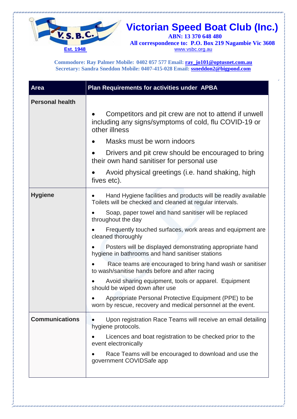

All correspondence to: P.O. Box 219 Nagambie Vic 3608<br>Est. 1948<br>Est. 1948 www.vsbc.org.au

**Commodore: Ray Palmer Mobile: 0402 057 577 Email: ray\_jo101@optusnet.com.au Secretary: Sandra Sneddon Mobile: 0407-415-028 Email: ssneddon2@bigpond.com**

| <b>Area</b>            | Plan Requirements for activities under APBA                                                                                                                                                                                                                                                                                                                                                                                                                                                                                                                                                                                                                                                                                                     |
|------------------------|-------------------------------------------------------------------------------------------------------------------------------------------------------------------------------------------------------------------------------------------------------------------------------------------------------------------------------------------------------------------------------------------------------------------------------------------------------------------------------------------------------------------------------------------------------------------------------------------------------------------------------------------------------------------------------------------------------------------------------------------------|
| <b>Personal health</b> | Competitors and pit crew are not to attend if unwell<br>including any signs/symptoms of cold, flu COVID-19 or<br>other illness<br>Masks must be worn indoors<br>Drivers and pit crew should be encouraged to bring<br>their own hand sanitiser for personal use<br>Avoid physical greetings (i.e. hand shaking, high<br>fives etc).                                                                                                                                                                                                                                                                                                                                                                                                             |
| <b>Hygiene</b>         | Hand Hygiene facilities and products will be readily available<br>Toilets will be checked and cleaned at regular intervals.<br>Soap, paper towel and hand sanitiser will be replaced<br>throughout the day<br>Frequently touched surfaces, work areas and equipment are<br>cleaned thoroughly<br>Posters will be displayed demonstrating appropriate hand<br>hygiene in bathrooms and hand sanitiser stations<br>Race teams are encouraged to bring hand wash or sanitiser<br>to wash/sanitise hands before and after racing<br>Avoid sharing equipment, tools or apparel. Equipment<br>should be wiped down after use<br>Appropriate Personal Protective Equipment (PPE) to be<br>worn by rescue, recovery and medical personnel at the event. |
| <b>Communications</b>  | Upon registration Race Teams will receive an email detailing<br>hygiene protocols.<br>Licences and boat registration to be checked prior to the<br>event electronically<br>Race Teams will be encouraged to download and use the<br>government COVIDSafe app                                                                                                                                                                                                                                                                                                                                                                                                                                                                                    |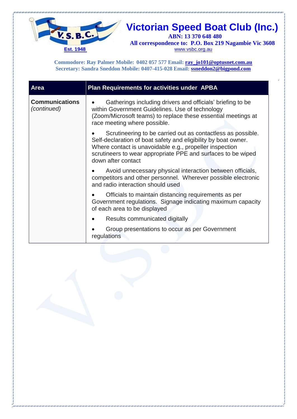

All correspondence to: P.O. Box 219 Nagambie Vic 3608<br>Est. 1948<br>Est. 1948 www.vsbc.org.au

**Commodore: Ray Palmer Mobile: 0402 057 577 Email: ray\_jo101@optusnet.com.au Secretary: Sandra Sneddon Mobile: 0407-415-028 Email: ssneddon2@bigpond.com**

| <b>Area</b>                          | <b>Plan Requirements for activities under APBA</b>                                                                                                                                                                                                                             |
|--------------------------------------|--------------------------------------------------------------------------------------------------------------------------------------------------------------------------------------------------------------------------------------------------------------------------------|
| <b>Communications</b><br>(continued) | Gatherings including drivers and officials' briefing to be<br>within Government Guidelines. Use of technology<br>(Zoom/Microsoft teams) to replace these essential meetings at<br>race meeting where possible.                                                                 |
|                                      | Scrutineering to be carried out as contactless as possible.<br>Self-declaration of boat safety and eligibility by boat owner.<br>Where contact is unavoidable e.g., propeller inspection<br>scrutineers to wear appropriate PPE and surfaces to be wiped<br>down after contact |
|                                      | Avoid unnecessary physical interaction between officials,<br>competitors and other personnel. Wherever possible electronic<br>and radio interaction should used                                                                                                                |
|                                      | Officials to maintain distancing requirements as per<br>Government regulations. Signage indicating maximum capacity<br>of each area to be displayed                                                                                                                            |
|                                      | Results communicated digitally                                                                                                                                                                                                                                                 |
|                                      | Group presentations to occur as per Government<br>regulations                                                                                                                                                                                                                  |